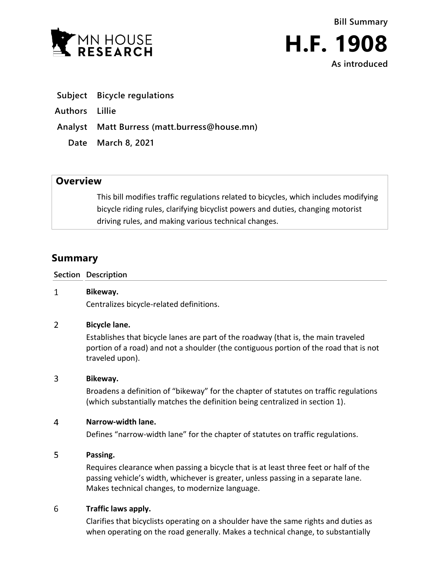

**Bill Summary H.F. 1908**

**As introduced**

**Subject Bicycle regulations**

**Authors Lillie**

**Analyst Matt Burress (matt.burress@house.mn)**

**Date March 8, 2021**

## **Overview**

This bill modifies traffic regulations related to bicycles, which includes modifying bicycle riding rules, clarifying bicyclist powers and duties, changing motorist driving rules, and making various technical changes.

# **Summary**

**Section Description**

#### $\mathbf{1}$ **Bikeway.**

Centralizes bicycle-related definitions.

#### $\overline{2}$ **Bicycle lane.**

Establishes that bicycle lanes are part of the roadway (that is, the main traveled portion of a road) and not a shoulder (the contiguous portion of the road that is not traveled upon).

#### $\overline{3}$ **Bikeway.**

Broadens a definition of "bikeway" for the chapter of statutes on traffic regulations (which substantially matches the definition being centralized in section 1).

#### $\overline{4}$ **Narrow-width lane.**

Defines "narrow-width lane" for the chapter of statutes on traffic regulations.

#### 5 **Passing.**

Requires clearance when passing a bicycle that is at least three feet or half of the passing vehicle's width, whichever is greater, unless passing in a separate lane. Makes technical changes, to modernize language.

#### 6 **Traffic laws apply.**

Clarifies that bicyclists operating on a shoulder have the same rights and duties as when operating on the road generally. Makes a technical change, to substantially